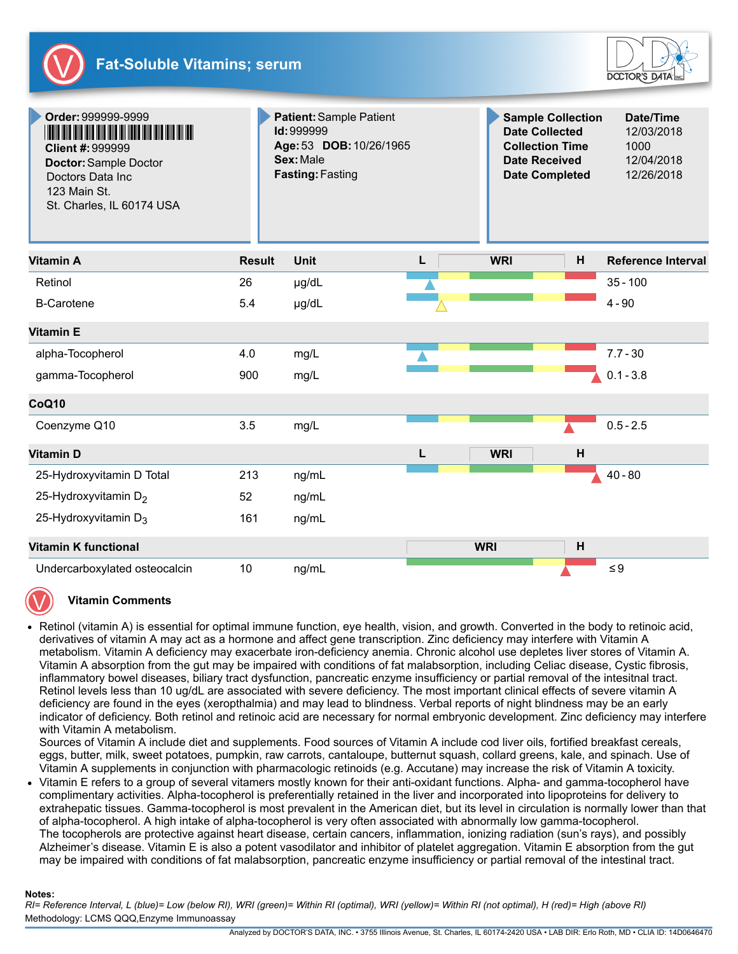



| Order: 999999-9999<br><b>Client #: 999999</b><br>Doctor: Sample Doctor<br>Doctors Data Inc<br>123 Main St.<br>St. Charles, IL 60174 USA |               | Patient: Sample Patient<br>Id: 999999<br>Age: 53 DOB: 10/26/1965<br>Sex: Male<br><b>Fasting: Fasting</b> |   | <b>Sample Collection</b><br><b>Date Collected</b><br><b>Collection Time</b><br><b>Date Received</b><br><b>Date Completed</b> |   | Date/Time<br>12/03/2018<br>1000<br>12/04/2018<br>12/26/2018 |
|-----------------------------------------------------------------------------------------------------------------------------------------|---------------|----------------------------------------------------------------------------------------------------------|---|------------------------------------------------------------------------------------------------------------------------------|---|-------------------------------------------------------------|
| <b>Vitamin A</b>                                                                                                                        | <b>Result</b> | Unit                                                                                                     | L | <b>WRI</b>                                                                                                                   | н | <b>Reference Interval</b>                                   |
| Retinol                                                                                                                                 | 26            | µg/dL                                                                                                    |   |                                                                                                                              |   | $35 - 100$                                                  |
| <b>B-Carotene</b>                                                                                                                       | 5.4           | µg/dL                                                                                                    |   |                                                                                                                              |   | $4 - 90$                                                    |
| <b>Vitamin E</b>                                                                                                                        |               |                                                                                                          |   |                                                                                                                              |   |                                                             |
| alpha-Tocopherol                                                                                                                        | 4.0           | mg/L                                                                                                     |   |                                                                                                                              |   | $7.7 - 30$                                                  |
| gamma-Tocopherol                                                                                                                        | 900           | mg/L                                                                                                     |   |                                                                                                                              |   | $0.1 - 3.8$                                                 |
| CoQ10                                                                                                                                   |               |                                                                                                          |   |                                                                                                                              |   |                                                             |
| Coenzyme Q10                                                                                                                            | 3.5           | mg/L                                                                                                     |   |                                                                                                                              |   | $0.5 - 2.5$                                                 |
| <b>Vitamin D</b>                                                                                                                        |               |                                                                                                          | L | <b>WRI</b>                                                                                                                   | H |                                                             |
| 25-Hydroxyvitamin D Total                                                                                                               | 213           | ng/mL                                                                                                    |   |                                                                                                                              |   | $40 - 80$                                                   |
| 25-Hydroxyvitamin D <sub>2</sub>                                                                                                        | 52            | ng/mL                                                                                                    |   |                                                                                                                              |   |                                                             |
| 25-Hydroxyvitamin D <sub>3</sub>                                                                                                        | 161           | ng/mL                                                                                                    |   |                                                                                                                              |   |                                                             |
| <b>Vitamin K functional</b>                                                                                                             |               |                                                                                                          |   | <b>WRI</b>                                                                                                                   | H |                                                             |
| Undercarboxylated osteocalcin                                                                                                           | 10            | ng/mL                                                                                                    |   |                                                                                                                              |   | $\leq 9$                                                    |

## **Vitamin Comments**

Retinol (vitamin A) is essential for optimal immune function, eye health, vision, and growth. Converted in the body to retinoic acid, derivatives of vitamin A may act as a hormone and affect gene transcription. Zinc deficiency may interfere with Vitamin A metabolism. Vitamin A deficiency may exacerbate iron-deficiency anemia. Chronic alcohol use depletes liver stores of Vitamin A. Vitamin A absorption from the gut may be impaired with conditions of fat malabsorption, including Celiac disease, Cystic fibrosis, inflammatory bowel diseases, biliary tract dysfunction, pancreatic enzyme insufficiency or partial removal of the intesitnal tract. Retinol levels less than 10 ug/dL are associated with severe deficiency. The most important clinical effects of severe vitamin A deficiency are found in the eyes (xeropthalmia) and may lead to blindness. Verbal reports of night blindness may be an early indicator of deficiency. Both retinol and retinoic acid are necessary for normal embryonic development. Zinc deficiency may interfere with Vitamin A metabolism.

Sources of Vitamin A include diet and supplements. Food sources of Vitamin A include cod liver oils, fortified breakfast cereals, eggs, butter, milk, sweet potatoes, pumpkin, raw carrots, cantaloupe, butternut squash, collard greens, kale, and spinach. Use of Vitamin A supplements in conjunction with pharmacologic retinoids (e.g. Accutane) may increase the risk of Vitamin A toxicity.

Vitamin E refers to a group of several vitamers mostly known for their anti-oxidant functions. Alpha- and gamma-tocopherol have complimentary activities. Alpha-tocopherol is preferentially retained in the liver and incorporated into lipoproteins for delivery to extrahepatic tissues. Gamma-tocopherol is most prevalent in the American diet, but its level in circulation is normally lower than that of alpha-tocopherol. A high intake of alpha-tocopherol is very often associated with abnormally low gamma-tocopherol. The tocopherols are protective against heart disease, certain cancers, inflammation, ionizing radiation (sun's rays), and possibly Alzheimer's disease. Vitamin E is also a potent vasodilator and inhibitor of platelet aggregation. Vitamin E absorption from the gut may be impaired with conditions of fat malabsorption, pancreatic enzyme insufficiency or partial removal of the intestinal tract.

## Notes:

Methodology: LCMS QQQ,Enzyme Immunoassay RI= Reference Interval, L (blue)= Low (below RI), WRI (green)= Within RI (optimal), WRI (yellow)= Within RI (not optimal), H (red)= High (above RI)